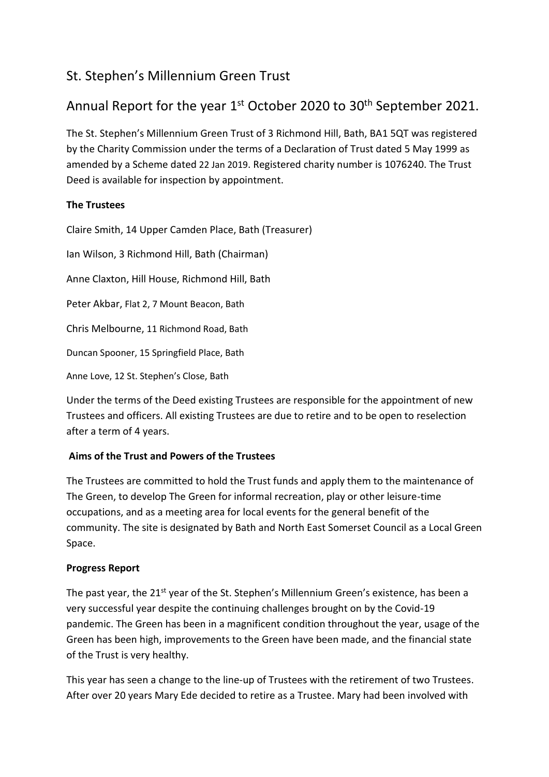## St. Stephen's Millennium Green Trust

# Annual Report for the year  $1<sup>st</sup>$  October 2020 to 30<sup>th</sup> September 2021.

The St. Stephen's Millennium Green Trust of 3 Richmond Hill, Bath, BA1 5QT was registered by the Charity Commission under the terms of a Declaration of Trust dated 5 May 1999 as amended by a Scheme dated 22 Jan 2019. Registered charity number is 1076240. The Trust Deed is available for inspection by appointment.

### **The Trustees**

Claire Smith, 14 Upper Camden Place, Bath (Treasurer)

Ian Wilson, 3 Richmond Hill, Bath (Chairman)

Anne Claxton, Hill House, Richmond Hill, Bath

Peter Akbar, Flat 2, 7 Mount Beacon, Bath

Chris Melbourne, 11 Richmond Road, Bath

Duncan Spooner, 15 Springfield Place, Bath

Anne Love, 12 St. Stephen's Close, Bath

Under the terms of the Deed existing Trustees are responsible for the appointment of new Trustees and officers. All existing Trustees are due to retire and to be open to reselection after a term of 4 years.

### **Aims of the Trust and Powers of the Trustees**

The Trustees are committed to hold the Trust funds and apply them to the maintenance of The Green, to develop The Green for informal recreation, play or other leisure-time occupations, and as a meeting area for local events for the general benefit of the community. The site is designated by Bath and North East Somerset Council as a Local Green Space.

### **Progress Report**

The past year, the 21<sup>st</sup> year of the St. Stephen's Millennium Green's existence, has been a very successful year despite the continuing challenges brought on by the Covid-19 pandemic. The Green has been in a magnificent condition throughout the year, usage of the Green has been high, improvements to the Green have been made, and the financial state of the Trust is very healthy.

This year has seen a change to the line-up of Trustees with the retirement of two Trustees. After over 20 years Mary Ede decided to retire as a Trustee. Mary had been involved with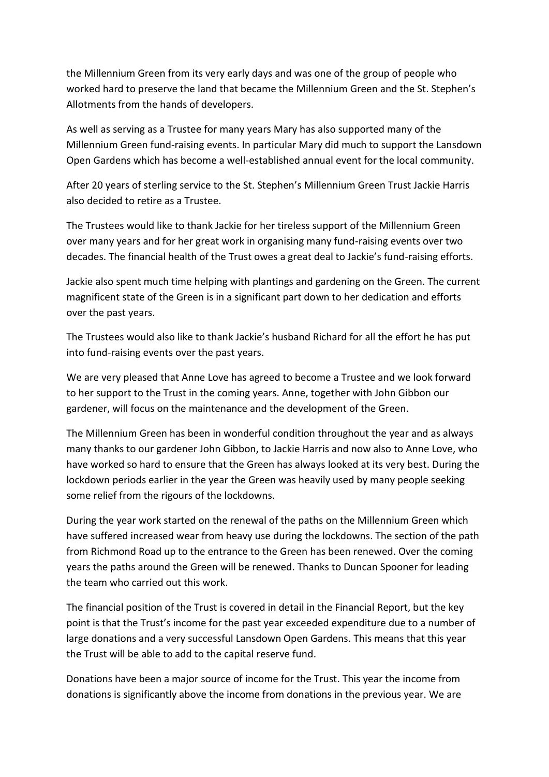the Millennium Green from its very early days and was one of the group of people who worked hard to preserve the land that became the Millennium Green and the St. Stephen's Allotments from the hands of developers.

As well as serving as a Trustee for many years Mary has also supported many of the Millennium Green fund-raising events. In particular Mary did much to support the Lansdown Open Gardens which has become a well-established annual event for the local community.

After 20 years of sterling service to the St. Stephen's Millennium Green Trust Jackie Harris also decided to retire as a Trustee.

The Trustees would like to thank Jackie for her tireless support of the Millennium Green over many years and for her great work in organising many fund-raising events over two decades. The financial health of the Trust owes a great deal to Jackie's fund-raising efforts.

Jackie also spent much time helping with plantings and gardening on the Green. The current magnificent state of the Green is in a significant part down to her dedication and efforts over the past years.

The Trustees would also like to thank Jackie's husband Richard for all the effort he has put into fund-raising events over the past years.

We are very pleased that Anne Love has agreed to become a Trustee and we look forward to her support to the Trust in the coming years. Anne, together with John Gibbon our gardener, will focus on the maintenance and the development of the Green.

The Millennium Green has been in wonderful condition throughout the year and as always many thanks to our gardener John Gibbon, to Jackie Harris and now also to Anne Love, who have worked so hard to ensure that the Green has always looked at its very best. During the lockdown periods earlier in the year the Green was heavily used by many people seeking some relief from the rigours of the lockdowns.

During the year work started on the renewal of the paths on the Millennium Green which have suffered increased wear from heavy use during the lockdowns. The section of the path from Richmond Road up to the entrance to the Green has been renewed. Over the coming years the paths around the Green will be renewed. Thanks to Duncan Spooner for leading the team who carried out this work.

The financial position of the Trust is covered in detail in the Financial Report, but the key point is that the Trust's income for the past year exceeded expenditure due to a number of large donations and a very successful Lansdown Open Gardens. This means that this year the Trust will be able to add to the capital reserve fund.

Donations have been a major source of income for the Trust. This year the income from donations is significantly above the income from donations in the previous year. We are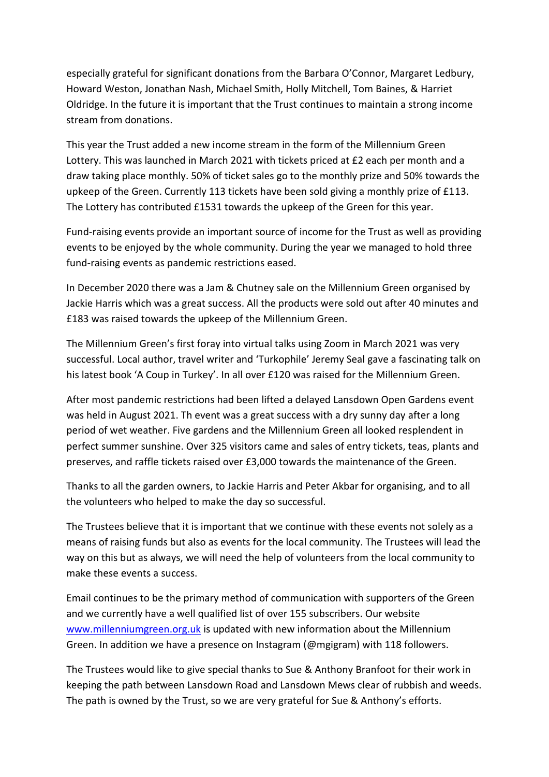especially grateful for significant donations from the Barbara O'Connor, Margaret Ledbury, Howard Weston, Jonathan Nash, Michael Smith, Holly Mitchell, Tom Baines, & Harriet Oldridge. In the future it is important that the Trust continues to maintain a strong income stream from donations.

This year the Trust added a new income stream in the form of the Millennium Green Lottery. This was launched in March 2021 with tickets priced at £2 each per month and a draw taking place monthly. 50% of ticket sales go to the monthly prize and 50% towards the upkeep of the Green. Currently 113 tickets have been sold giving a monthly prize of £113. The Lottery has contributed £1531 towards the upkeep of the Green for this year.

Fund-raising events provide an important source of income for the Trust as well as providing events to be enjoyed by the whole community. During the year we managed to hold three fund-raising events as pandemic restrictions eased.

In December 2020 there was a Jam & Chutney sale on the Millennium Green organised by Jackie Harris which was a great success. All the products were sold out after 40 minutes and £183 was raised towards the upkeep of the Millennium Green.

The Millennium Green's first foray into virtual talks using Zoom in March 2021 was very successful. Local author, travel writer and 'Turkophile' Jeremy Seal gave a fascinating talk on his latest book 'A Coup in Turkey'. In all over £120 was raised for the Millennium Green.

After most pandemic restrictions had been lifted a delayed Lansdown Open Gardens event was held in August 2021. Th event was a great success with a dry sunny day after a long period of wet weather. Five gardens and the Millennium Green all looked resplendent in perfect summer sunshine. Over 325 visitors came and sales of entry tickets, teas, plants and preserves, and raffle tickets raised over £3,000 towards the maintenance of the Green.

Thanks to all the garden owners, to Jackie Harris and Peter Akbar for organising, and to all the volunteers who helped to make the day so successful.

The Trustees believe that it is important that we continue with these events not solely as a means of raising funds but also as events for the local community. The Trustees will lead the way on this but as always, we will need the help of volunteers from the local community to make these events a success.

Email continues to be the primary method of communication with supporters of the Green and we currently have a well qualified list of over 155 subscribers. Our website [www.millenniumgreen.org.uk](http://www.millenniumgreen.org.uk/) is updated with new information about the Millennium Green. In addition we have a presence on Instagram (@mgigram) with 118 followers.

The Trustees would like to give special thanks to Sue & Anthony Branfoot for their work in keeping the path between Lansdown Road and Lansdown Mews clear of rubbish and weeds. The path is owned by the Trust, so we are very grateful for Sue & Anthony's efforts.